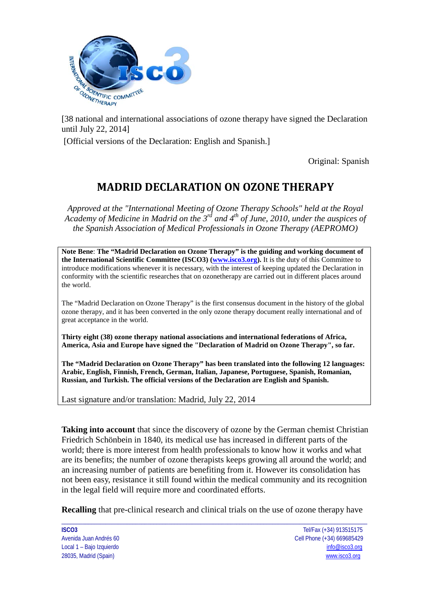

[38 national and international associations of ozone therapy have signed the Declaration until July 22, 2014]

[Official versions of the Declaration: English and Spanish.]

Original: Spanish

# **MADRID DECLARATION ON OZONE THERAPY**

*Approved at the "International Meeting of Ozone Therapy Schools" held at the Royal Academy of Medicine in Madrid on the 3rd and 4th of June, 2010, under the auspices of the Spanish Association of Medical Professionals in Ozone Therapy (AEPROMO)*

**Note Bene**: **The "Madrid Declaration on Ozone Therapy" is the guiding and working document of the International Scientific Committee (ISCO3) [\(www.isco3.org\)](http://www.isco3.org/).** It is the duty of this Committee to introduce modifications whenever it is necessary, with the interest of keeping updated the Declaration in conformity with the scientific researches that on ozonetherapy are carried out in different places around the world.

The "Madrid Declaration on Ozone Therapy" is the first consensus document in the history of the global ozone therapy, and it has been converted in the only ozone therapy document really international and of great acceptance in the world.

**Thirty eight (38) ozone therapy national associations and international federations of Africa, America, Asia and Europe have signed the "Declaration of Madrid on Ozone Therapy", so far.** 

**The "Madrid Declaration on Ozone Therapy" has been translated into the following 12 languages: Arabic, English, Finnish, French, German, Italian, Japanese, Portuguese, Spanish, Romanian, Russian, and Turkish. The official versions of the Declaration are English and Spanish.**

Last signature and/or translation: Madrid, July 22, 2014

**Taking into account** that since the discovery of ozone by the German chemist Christian Friedrich Schönbein in 1840, its medical use has increased in different parts of the world; there is more interest from health professionals to know how it works and what are its benefits; the number of ozone therapists keeps growing all around the world; and an increasing number of patients are benefiting from it. However its consolidation has not been easy, resistance it still found within the medical community and its recognition in the legal field will require more and coordinated efforts.

\_\_\_\_\_\_\_\_\_\_\_\_\_\_\_\_\_\_\_\_\_\_\_\_\_\_\_\_\_\_\_\_\_\_\_\_\_\_\_\_\_\_\_\_\_\_\_\_\_\_\_\_\_\_\_\_\_\_\_\_\_\_\_\_\_\_\_\_\_\_\_\_\_\_\_\_\_\_\_\_\_\_\_\_\_\_\_\_\_\_\_\_\_\_\_\_\_\_\_\_\_\_\_ **Recalling** that pre-clinical research and clinical trials on the use of ozone therapy have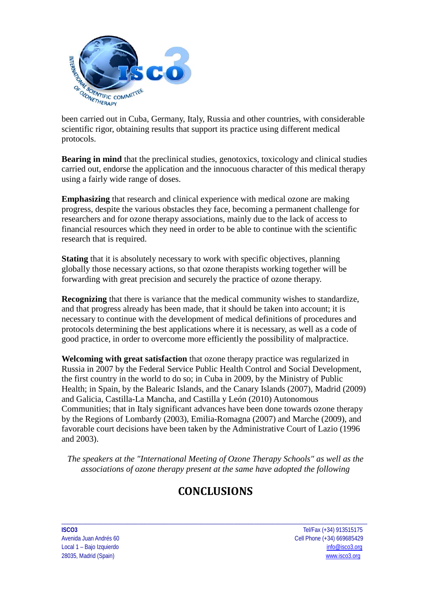

been carried out in Cuba, Germany, Italy, Russia and other countries, with considerable scientific rigor, obtaining results that support its practice using different medical protocols.

**Bearing in mind** that the preclinical studies, genotoxics, toxicology and clinical studies carried out, endorse the application and the innocuous character of this medical therapy using a fairly wide range of doses.

**Emphasizing** that research and clinical experience with medical ozone are making progress, despite the various obstacles they face, becoming a permanent challenge for researchers and for ozone therapy associations, mainly due to the lack of access to financial resources which they need in order to be able to continue with the scientific research that is required.

**Stating** that it is absolutely necessary to work with specific objectives, planning globally those necessary actions, so that ozone therapists working together will be forwarding with great precision and securely the practice of ozone therapy.

**Recognizing** that there is variance that the medical community wishes to standardize, and that progress already has been made, that it should be taken into account; it is necessary to continue with the development of medical definitions of procedures and protocols determining the best applications where it is necessary, as well as a code of good practice, in order to overcome more efficiently the possibility of malpractice.

**Welcoming with great satisfaction** that ozone therapy practice was regularized in Russia in 2007 by the Federal Service Public Health Control and Social Development, the first country in the world to do so; in Cuba in 2009, by the Ministry of Public Health; in Spain, by the Balearic Islands, and the Canary Islands (2007), Madrid (2009) and Galicia, Castilla-La Mancha, and Castilla y León (2010) Autonomous Communities; that in Italy significant advances have been done towards ozone therapy by the Regions of Lombardy (2003), Emilia-Romagna (2007) and Marche (2009), and favorable court decisions have been taken by the Administrative Court of Lazio (1996 and 2003).

*The speakers at the "International Meeting of Ozone Therapy Schools" as well as the associations of ozone therapy present at the same have adopted the following* 

# **CONCLUSIONS**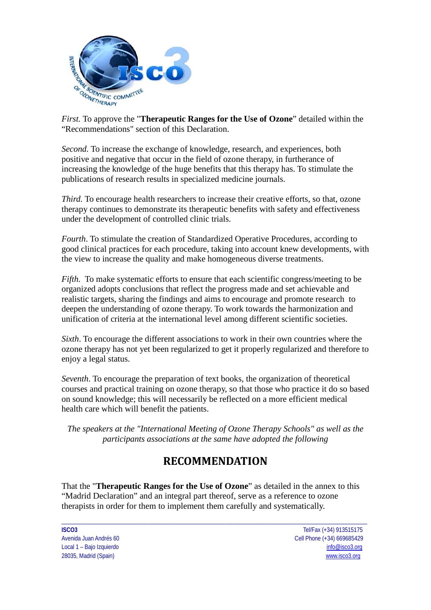

*First.* To approve the "**Therapeutic Ranges for the Use of Ozone**" detailed within the "Recommendations" section of this Declaration.

*Second.* To increase the exchange of knowledge, research, and experiences, both positive and negative that occur in the field of ozone therapy, in furtherance of increasing the knowledge of the huge benefits that this therapy has. To stimulate the publications of research results in specialized medicine journals.

*Third.* To encourage health researchers to increase their creative efforts, so that, ozone therapy continues to demonstrate its therapeutic benefits with safety and effectiveness under the development of controlled clinic trials.

*Fourth*. To stimulate the creation of Standardized Operative Procedures, according to good clinical practices for each procedure, taking into account knew developments, with the view to increase the quality and make homogeneous diverse treatments.

*Fifth.* To make systematic efforts to ensure that each scientific congress/meeting to be organized adopts conclusions that reflect the progress made and set achievable and realistic targets, sharing the findings and aims to encourage and promote research to deepen the understanding of ozone therapy. To work towards the harmonization and unification of criteria at the international level among different scientific societies.

*Sixth*. To encourage the different associations to work in their own countries where the ozone therapy has not yet been regularized to get it properly regularized and therefore to enjoy a legal status.

*Seventh*. To encourage the preparation of text books, the organization of theoretical courses and practical training on ozone therapy, so that those who practice it do so based on sound knowledge; this will necessarily be reflected on a more efficient medical health care which will benefit the patients.

*The speakers at the "International Meeting of Ozone Therapy Schools" as well as the participants associations at the same have adopted the following* 

# **RECOMMENDATION**

That the "**Therapeutic Ranges for the Use of Ozone**" as detailed in the annex to this "Madrid Declaration" and an integral part thereof, serve as a reference to ozone therapists in order for them to implement them carefully and systematically.

\_\_\_\_\_\_\_\_\_\_\_\_\_\_\_\_\_\_\_\_\_\_\_\_\_\_\_\_\_\_\_\_\_\_\_\_\_\_\_\_\_\_\_\_\_\_\_\_\_\_\_\_\_\_\_\_\_\_\_\_\_\_\_\_\_\_\_\_\_\_\_\_\_\_\_\_\_\_\_\_\_\_\_\_\_\_\_\_\_\_\_\_\_\_\_\_\_\_\_\_\_\_\_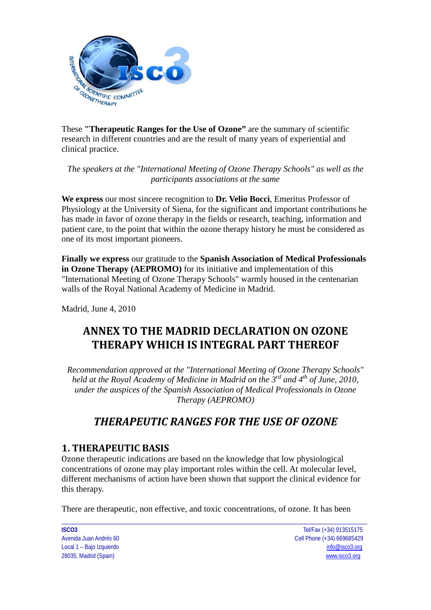

These **"Therapeutic Ranges for the Use of Ozone"** are the summary of scientific research in different countries and are the result of many years of experiential and clinical practice.

*The speakers at the "International Meeting of Ozone Therapy Schools" as well as the participants associations at the same*

**We express** our most sincere recognition to **Dr. Velio Bocci**, Emeritus Professor of Physiology at the University of Siena, for the significant and important contributions he has made in favor of ozone therapy in the fields or research, teaching, information and patient care, to the point that within the ozone therapy history he must be considered as one of its most important pioneers.

**Finally we express** our gratitude to the **Spanish Association of Medical Professionals in Ozone Therapy (AEPROMO)** for its initiative and implementation of this "International Meeting of Ozone Therapy Schools" warmly housed in the centenarian walls of the Royal National Academy of Medicine in Madrid.

Madrid, June 4, 2010

# **ANNEX TO THE MADRID DECLARATION ON OZONE THERAPY WHICH IS INTEGRAL PART THEREOF**

*Recommendation approved at the "International Meeting of Ozone Therapy Schools" held at the Royal Academy of Medicine in Madrid on the 3rd and 4th of June, 2010, under the auspices of the Spanish Association of Medical Professionals in Ozone Therapy (AEPROMO)* 

# *THERAPEUTIC RANGES FOR THE USE OF OZONE*

## **1. THERAPEUTIC BASIS**

Ozone therapeutic indications are based on the knowledge that low physiological concentrations of ozone may play important roles within the cell. At molecular level, different mechanisms of action have been shown that support the clinical evidence for this therapy.

There are therapeutic, non effective, and toxic concentrations, of ozone. It has been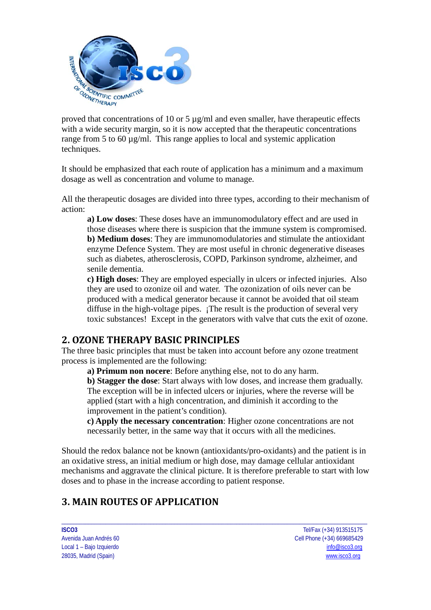

proved that concentrations of 10 or 5  $\mu$ g/ml and even smaller, have therapeutic effects with a wide security margin, so it is now accepted that the therapeutic concentrations range from 5 to 60  $\mu$ g/ml. This range applies to local and systemic application techniques.

It should be emphasized that each route of application has a minimum and a maximum dosage as well as concentration and volume to manage.

All the therapeutic dosages are divided into three types, according to their mechanism of action:

**a) Low doses**: These doses have an immunomodulatory effect and are used in those diseases where there is suspicion that the immune system is compromised. **b) Medium doses**: They are immunomodulatories and stimulate the antioxidant enzyme Defence System. They are most useful in chronic degenerative diseases such as diabetes, atherosclerosis, COPD, Parkinson syndrome, alzheimer, and senile dementia.

**c) High doses**: They are employed especially in ulcers or infected injuries. Also they are used to ozonize oil and water. The ozonization of oils never can be produced with a medical generator because it cannot be avoided that oil steam diffuse in the high-voltage pipes. ¡The result is the production of several very toxic substances! Except in the generators with valve that cuts the exit of ozone.

## **2. OZONE THERAPY BASIC PRINCIPLES**

The three basic principles that must be taken into account before any ozone treatment process is implemented are the following:

**a) Primum non nocere**: Before anything else, not to do any harm.

**b) Stagger the dose**: Start always with low doses, and increase them gradually. The exception will be in infected ulcers or injuries, where the reverse will be applied (start with a high concentration, and diminish it according to the improvement in the patient's condition).

**c) Apply the necessary concentration**: Higher ozone concentrations are not necessarily better, in the same way that it occurs with all the medicines.

Should the redox balance not be known (antioxidants/pro-oxidants) and the patient is in an oxidative stress, an initial medium or high dose, may damage cellular antioxidant mechanisms and aggravate the clinical picture. It is therefore preferable to start with low doses and to phase in the increase according to patient response.

\_\_\_\_\_\_\_\_\_\_\_\_\_\_\_\_\_\_\_\_\_\_\_\_\_\_\_\_\_\_\_\_\_\_\_\_\_\_\_\_\_\_\_\_\_\_\_\_\_\_\_\_\_\_\_\_\_\_\_\_\_\_\_\_\_\_\_\_\_\_\_\_\_\_\_\_\_\_\_\_\_\_\_\_\_\_\_\_\_\_\_\_\_\_\_\_\_\_\_\_\_\_\_

# **3. MAIN ROUTES OF APPLICATION**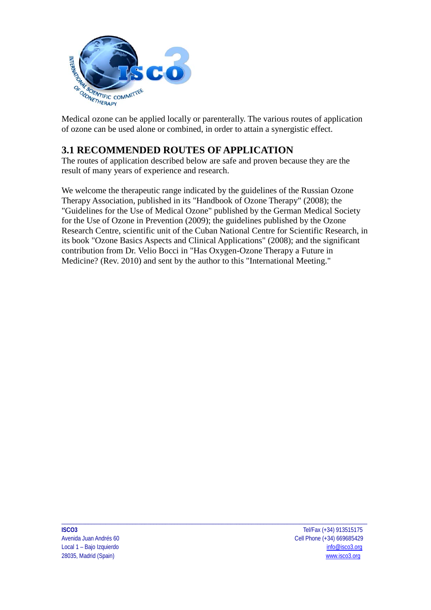

Medical ozone can be applied locally or parenterally. The various routes of application of ozone can be used alone or combined, in order to attain a synergistic effect.

# **3.1 RECOMMENDED ROUTES OF APPLICATION**

The routes of application described below are safe and proven because they are the result of many years of experience and research.

We welcome the therapeutic range indicated by the guidelines of the Russian Ozone Therapy Association, published in its "Handbook of Ozone Therapy" (2008); the "Guidelines for the Use of Medical Ozone" published by the German Medical Society for the Use of Ozone in Prevention (2009); the guidelines published by the Ozone Research Centre, scientific unit of the Cuban National Centre for Scientific Research, in its book "Ozone Basics Aspects and Clinical Applications" (2008); and the significant contribution from Dr. Velio Bocci in "Has Oxygen-Ozone Therapy a Future in Medicine? (Rev. 2010) and sent by the author to this "International Meeting."

\_\_\_\_\_\_\_\_\_\_\_\_\_\_\_\_\_\_\_\_\_\_\_\_\_\_\_\_\_\_\_\_\_\_\_\_\_\_\_\_\_\_\_\_\_\_\_\_\_\_\_\_\_\_\_\_\_\_\_\_\_\_\_\_\_\_\_\_\_\_\_\_\_\_\_\_\_\_\_\_\_\_\_\_\_\_\_\_\_\_\_\_\_\_\_\_\_\_\_\_\_\_\_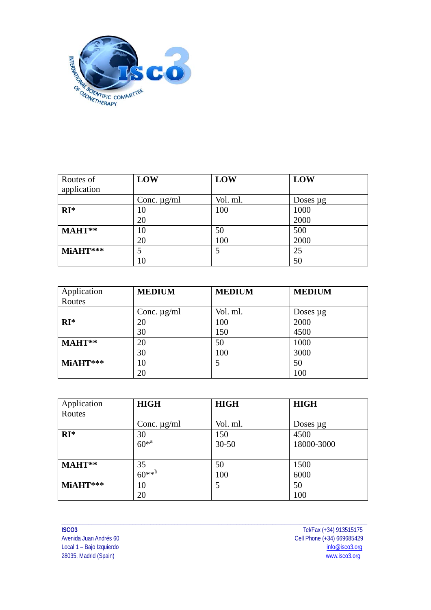

| Routes of   | LOW              | LOW      | LOW           |
|-------------|------------------|----------|---------------|
| application |                  |          |               |
|             | Conc. $\mu$ g/ml | Vol. ml. | Doses $\mu$ g |
| $RI*$       | 10               | 100      | 1000          |
|             | 20               |          | 2000          |
| $MAHT**$    | 10               | 50       | 500           |
|             | 20               | 100      | 2000          |
| MiAHT***    |                  | 5        | 25            |
|             | 10               |          | 50            |

| Application | <b>MEDIUM</b>    | <b>MEDIUM</b> | <b>MEDIUM</b> |
|-------------|------------------|---------------|---------------|
| Routes      |                  |               |               |
|             | Conc. $\mu$ g/ml | Vol. ml.      | Doses $\mu$ g |
| $RI*$       | 20               | 100           | 2000          |
|             | 30               | 150           | 4500          |
| MAHT**      | 20               | 50            | 1000          |
|             | 30               | 100           | 3000          |
| $MiAHT***$  | 10               | 5             | 50            |
|             | 20               |               | 100           |

| Application | <b>HIGH</b>               | <b>HIGH</b> | <b>HIGH</b>   |
|-------------|---------------------------|-------------|---------------|
| Routes      |                           |             |               |
|             | Conc. $\mu$ g/ml          | Vol. ml.    | Doses $\mu$ g |
| $RI^*$      | 30                        | 150         | 4500          |
|             | $60^{*^a}$                | $30 - 50$   | 18000-3000    |
|             |                           |             |               |
| MAHT**      | $35$<br>60** <sup>b</sup> | 50          | 1500          |
|             |                           | 100         | 6000          |
| MiAHT***    | 10                        | 5           | 50            |
|             | 20                        |             | 100           |

\_\_\_\_\_\_\_\_\_\_\_\_\_\_\_\_\_\_\_\_\_\_\_\_\_\_\_\_\_\_\_\_\_\_\_\_\_\_\_\_\_\_\_\_\_\_\_\_\_\_\_\_\_\_\_\_\_\_\_\_\_\_\_\_\_\_\_\_\_\_\_\_\_\_\_\_\_\_\_\_\_\_\_\_\_\_\_\_\_\_\_\_\_\_\_\_\_\_\_\_\_\_\_ Local 1 – Bajo Izquierdo

**ISCO3** Tel/Fax (+34) 913515175 Cell Phone  $(+34)$  669685429<br>info@isco3.org 28035, Madrid (Spain) [www.isco3.org](http://www.isco3.org/)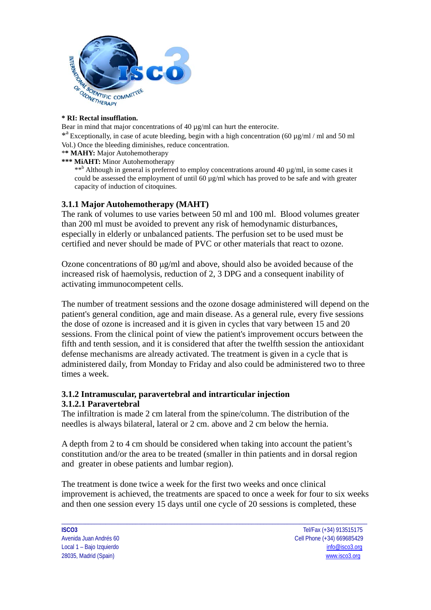

#### **\* RI: Rectal insufflation.**

Bear in mind that major concentrations of  $40 \mu g/ml$  can hurt the enterocite.

\*<sup>a</sup> Exceptionally, in case of acute bleeding, begin with a high concentration (60  $\mu$ g/ml / ml and 50 ml Vol.) Once the bleeding diminishes, reduce concentration.

\***\* MAHY:** Major Autohemotherapy

**\*\*\* MiAHT:** Minor Autohemotherapy

\*\*<sup>b</sup> Although in general is preferred to employ concentrations around 40  $\mu$ g/ml, in some cases it could be assessed the employment of until  $60 \mu g/ml$  which has proved to be safe and with greater capacity of induction of citoquines.

#### **3.1.1 Major Autohemotherapy (MAHT)**

The rank of volumes to use varies between 50 ml and 100 ml. Blood volumes greater than 200 ml must be avoided to prevent any risk of hemodynamic disturbances, especially in elderly or unbalanced patients. The perfusion set to be used must be certified and never should be made of PVC or other materials that react to ozone.

Ozone concentrations of 80 μg/ml and above, should also be avoided because of the increased risk of haemolysis, reduction of 2, 3 DPG and a consequent inability of activating immunocompetent cells.

The number of treatment sessions and the ozone dosage administered will depend on the patient's general condition, age and main disease. As a general rule, every five sessions the dose of ozone is increased and it is given in cycles that vary between 15 and 20 sessions. From the clinical point of view the patient's improvement occurs between the fifth and tenth session, and it is considered that after the twelfth session the antioxidant defense mechanisms are already activated. The treatment is given in a cycle that is administered daily, from Monday to Friday and also could be administered two to three times a week.

#### **3.1.2 Intramuscular, paravertebral and intrarticular injection 3.1.2.1 Paravertebral**

The infiltration is made 2 cm lateral from the spine/column. The distribution of the needles is always bilateral, lateral or 2 cm. above and 2 cm below the hernia.

A depth from 2 to 4 cm should be considered when taking into account the patient's constitution and/or the area to be treated (smaller in thin patients and in dorsal region and greater in obese patients and lumbar region).

The treatment is done twice a week for the first two weeks and once clinical improvement is achieved, the treatments are spaced to once a week for four to six weeks and then one session every 15 days until one cycle of 20 sessions is completed, these

\_\_\_\_\_\_\_\_\_\_\_\_\_\_\_\_\_\_\_\_\_\_\_\_\_\_\_\_\_\_\_\_\_\_\_\_\_\_\_\_\_\_\_\_\_\_\_\_\_\_\_\_\_\_\_\_\_\_\_\_\_\_\_\_\_\_\_\_\_\_\_\_\_\_\_\_\_\_\_\_\_\_\_\_\_\_\_\_\_\_\_\_\_\_\_\_\_\_\_\_\_\_\_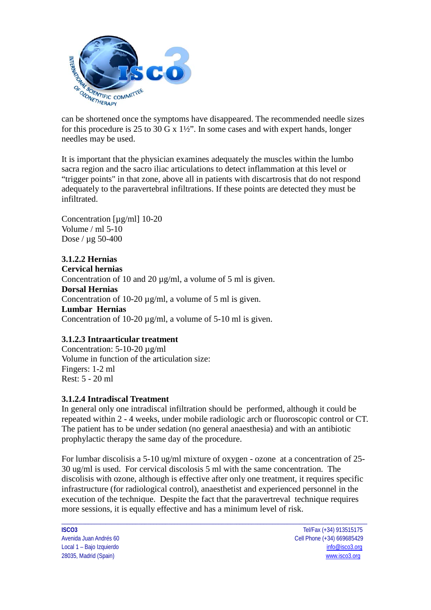

can be shortened once the symptoms have disappeared. The recommended needle sizes for this procedure is 25 to 30 G x  $1\frac{1}{2}$ . In some cases and with expert hands, longer needles may be used.

It is important that the physician examines adequately the muscles within the lumbo sacra region and the sacro iliac articulations to detect inflammation at this level or "trigger points" in that zone, above all in patients with discartrosis that do not respond adequately to the paravertebral infiltrations. If these points are detected they must be infiltrated.

Concentration [µg/ml] 10-20 Volume / ml 5-10 Dose / µg 50-400

### **3.1.2.2 Hernias**

**Cervical hernias**  Concentration of 10 and 20  $\mu$ g/ml, a volume of 5 ml is given. **Dorsal Hernias** Concentration of 10-20  $\mu$ g/ml, a volume of 5 ml is given. **Lumbar Hernias** Concentration of 10-20 µg/ml, a volume of 5-10 ml is given.

### **3.1.2.3 Intraarticular treatment**

Concentration: 5-10-20 µg/ml Volume in function of the articulation size: Fingers: 1-2 ml Rest: 5 - 20 ml

### **3.1.2.4 Intradiscal Treatment**

In general only one intradiscal infiltration should be performed, although it could be repeated within 2 - 4 weeks, under mobile radiologic arch or fluoroscopic control or CT. The patient has to be under sedation (no general anaesthesia) and with an antibiotic prophylactic therapy the same day of the procedure.

For lumbar discolisis a 5-10 ug/ml mixture of oxygen - ozone at a concentration of 25- 30 ug/ml is used. For cervical discolosis 5 ml with the same concentration. The discolisis with ozone, although is effective after only one treatment, it requires specific infrastructure (for radiological control), anaesthetist and experienced personnel in the execution of the technique. Despite the fact that the paravertreval technique requires more sessions, it is equally effective and has a minimum level of risk.

\_\_\_\_\_\_\_\_\_\_\_\_\_\_\_\_\_\_\_\_\_\_\_\_\_\_\_\_\_\_\_\_\_\_\_\_\_\_\_\_\_\_\_\_\_\_\_\_\_\_\_\_\_\_\_\_\_\_\_\_\_\_\_\_\_\_\_\_\_\_\_\_\_\_\_\_\_\_\_\_\_\_\_\_\_\_\_\_\_\_\_\_\_\_\_\_\_\_\_\_\_\_\_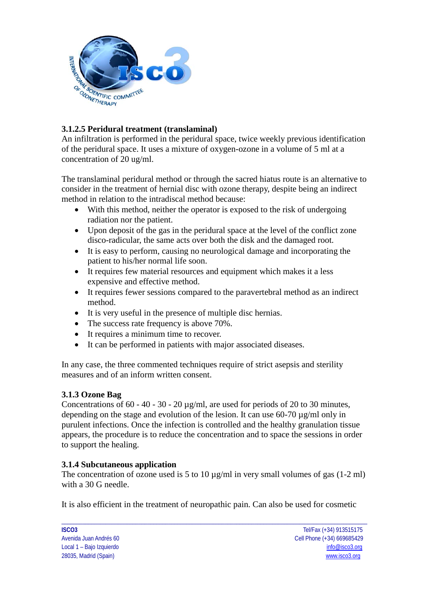

## **3.1.2.5 Peridural treatment (translaminal)**

An infiltration is performed in the peridural space, twice weekly previous identification of the peridural space. It uses a mixture of oxygen-ozone in a volume of 5 ml at a concentration of 20 ug/ml.

The translaminal peridural method or through the sacred hiatus route is an alternative to consider in the treatment of hernial disc with ozone therapy, despite being an indirect method in relation to the intradiscal method because:

- With this method, neither the operator is exposed to the risk of undergoing radiation nor the patient.
- Upon deposit of the gas in the peridural space at the level of the conflict zone disco-radicular, the same acts over both the disk and the damaged root.
- It is easy to perform, causing no neurological damage and incorporating the patient to his/her normal life soon.
- It requires few material resources and equipment which makes it a less expensive and effective method.
- It requires fewer sessions compared to the paravertebral method as an indirect method.
- It is very useful in the presence of multiple disc hernias.
- The success rate frequency is above 70%.
- It requires a minimum time to recover.
- It can be performed in patients with major associated diseases.

In any case, the three commented techniques require of strict asepsis and sterility measures and of an inform written consent.

### **3.1.3 Ozone Bag**

Concentrations of 60 - 40 - 30 - 20 µg/ml, are used for periods of 20 to 30 minutes, depending on the stage and evolution of the lesion. It can use 60-70 µg/ml only in purulent infections. Once the infection is controlled and the healthy granulation tissue appears, the procedure is to reduce the concentration and to space the sessions in order to support the healing.

### **3.1.4 Subcutaneous application**

The concentration of ozone used is 5 to 10  $\mu$ g/ml in very small volumes of gas (1-2 ml) with a 30 G needle.

It is also efficient in the treatment of neuropathic pain. Can also be used for cosmetic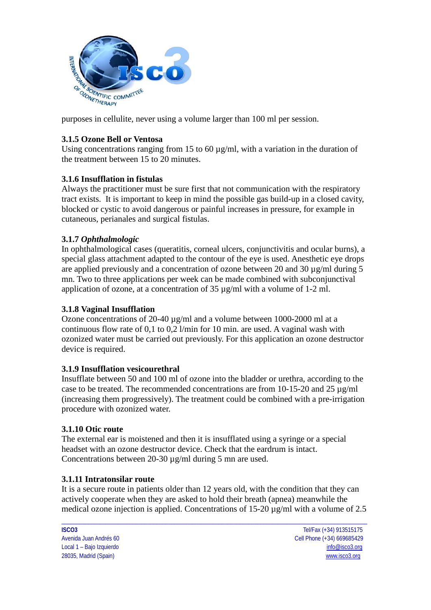

purposes in cellulite, never using a volume larger than 100 ml per session.

### **3.1.5 Ozone Bell or Ventosa**

Using concentrations ranging from 15 to 60  $\mu$ g/ml, with a variation in the duration of the treatment between 15 to 20 minutes.

#### **3.1.6 Insufflation in fistulas**

Always the practitioner must be sure first that not communication with the respiratory tract exists. It is important to keep in mind the possible gas build-up in a closed cavity, blocked or cystic to avoid dangerous or painful increases in pressure, for example in cutaneous, perianales and surgical fistulas.

### **3.1.7** *[Ophthalmologic](http://en.wikipedia.org/w/index.php?title=Special:Search&search=Ophthalmologic&fulltext=Search&ns0=1&redirs=1)*

In ophthalmological cases (queratitis, corneal ulcers, conjunctivitis and ocular burns), a special glass attachment adapted to the contour of the eye is used. Anesthetic eye drops are applied previously and a concentration of ozone between 20 and 30 µg/ml during 5 mn. Two to three applications per week can be made combined with subconjunctival application of ozone, at a concentration of 35 µg/ml with a volume of 1-2 ml.

#### **3.1.8 Vaginal Insufflation**

Ozone concentrations of 20-40 µg/ml and a volume between 1000-2000 ml at a continuous flow rate of 0,1 to 0,2 l/min for 10 min. are used. A vaginal wash with ozonized water must be carried out previously. For this application an ozone destructor device is required.

#### **3.1.9 Insufflation vesicourethral**

Insufflate between 50 and 100 ml of ozone into the bladder or urethra, according to the case to be treated. The recommended concentrations are from 10-15-20 and 25 µg/ml (increasing them progressively). The treatment could be combined with a pre-irrigation procedure with ozonized water.

#### **3.1.10 Otic route**

The external ear is moistened and then it is insufflated using a syringe or a special headset with an ozone destructor device. Check that the eardrum is intact. Concentrations between 20-30 µg/ml during 5 mn are used.

#### **3.1.11 Intratonsilar route**

It is a secure route in patients older than 12 years old, with the condition that they can actively cooperate when they are asked to hold their breath (apnea) meanwhile the medical ozone injection is applied. Concentrations of 15-20 µg/ml with a volume of 2.5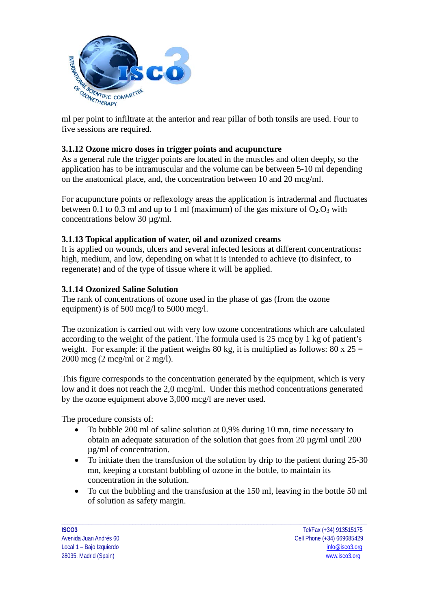

ml per point to infiltrate at the anterior and rear pillar of both tonsils are used. Four to five sessions are required.

### **3.1.12 Ozone micro doses in trigger points and acupuncture**

As a general rule the trigger points are located in the muscles and often deeply, so the application has to be intramuscular and the volume can be between 5-10 ml depending on the anatomical place, and, the concentration between 10 and 20 mcg/ml.

For acupuncture points or reflexology areas the application is intradermal and fluctuates between 0.1 to 0.3 ml and up to 1 ml (maximum) of the gas mixture of  $O_2O_3$  with concentrations below 30 µg/ml.

#### **3.1.13 Topical application of water, oil and ozonized creams**

It is applied on wounds, ulcers and several infected lesions at different concentrations**:** high, medium, and low, depending on what it is intended to achieve (to disinfect, to regenerate) and of the type of tissue where it will be applied.

#### **3.1.14 Ozonized Saline Solution**

The rank of concentrations of ozone used in the phase of gas (from the ozone equipment) is of 500 mcg/l to 5000 mcg/l.

The ozonization is carried out with very low ozone concentrations which are calculated according to the weight of the patient. The formula used is 25 mcg by 1 kg of patient's weight. For example: if the patient weighs 80 kg, it is multiplied as follows: 80 x  $25 =$ 2000 mcg (2 mcg/ml or 2 mg/l).

This figure corresponds to the concentration generated by the equipment, which is very low and it does not reach the 2,0 mcg/ml. Under this method concentrations generated by the ozone equipment above 3,000 mcg/l are never used.

The procedure consists of:

- To bubble 200 ml of saline solution at 0,9% during 10 mn, time necessary to obtain an adequate saturation of the solution that goes from  $20 \mu g/ml$  until  $200$ µg/ml of concentration.
- To initiate then the transfusion of the solution by drip to the patient during 25-30 mn, keeping a constant bubbling of ozone in the bottle, to maintain its concentration in the solution.
- To cut the bubbling and the transfusion at the 150 ml, leaving in the bottle 50 ml of solution as safety margin.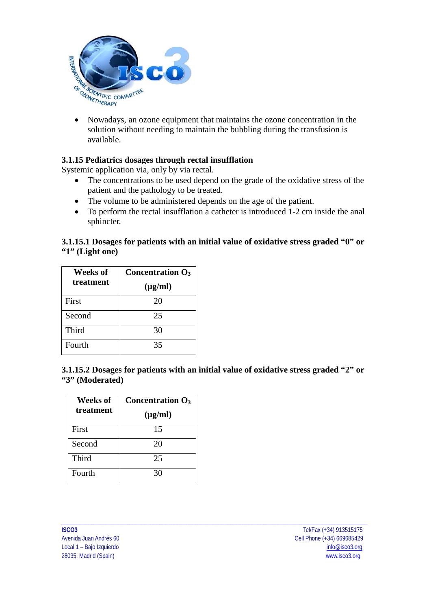

• Nowadays, an ozone equipment that maintains the ozone concentration in the solution without needing to maintain the bubbling during the transfusion is available.

### **3.1.15 Pediatrics dosages through rectal insufflation**

Systemic application via, only by via rectal.

- The concentrations to be used depend on the grade of the oxidative stress of the patient and the pathology to be treated.
- The volume to be administered depends on the age of the patient.
- To perform the rectal insufflation a catheter is introduced 1-2 cm inside the anal sphincter.

### **3.1.15.1 Dosages for patients with an initial value of oxidative stress graded "0" or "1" (Light one)**

| Weeks of  | Concentration $O_3$ |
|-----------|---------------------|
| treatment | $(\mu g/ml)$        |
| First     | 20                  |
| Second    | 25                  |
| Third     | 30                  |
| Fourth    | 35                  |

**3.1.15.2 Dosages for patients with an initial value of oxidative stress graded "2" or "3" (Moderated)**

| Weeks of  | Concentration $O_3$ |
|-----------|---------------------|
| treatment | $(\mu g/ml)$        |
| First     | 15                  |
| Second    | 20                  |
| Third     | 25                  |
| Fourth    | 30                  |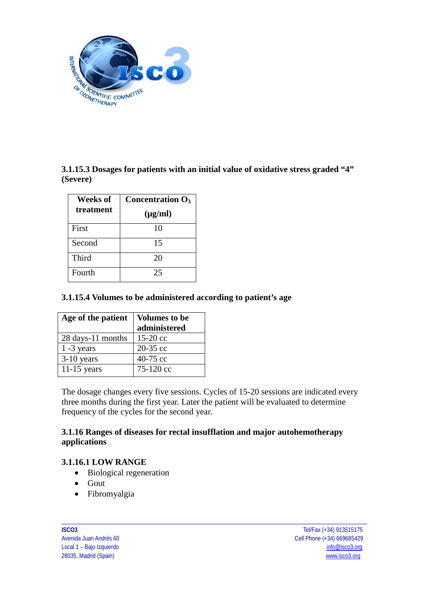

**3.1.15.3 Dosages for patients with an initial value of oxidative stress graded "4" (Severe)**

| Weeks of  | Concentration $O_3$ |
|-----------|---------------------|
| treatment | $(\mu g/ml)$        |
| First     | 10                  |
| Second    | 15                  |
| Third     | 20                  |
| Fourth    | 25                  |

### **3.1.15.4 Volumes to be administered according to patient's age**

| Age of the patient | <b>Volumes to be</b> |
|--------------------|----------------------|
|                    | administered         |
| 28 days-11 months  | $15-20$ cc           |
| $1 - 3$ years      | 20-35 cc             |
| $3-10$ years       | 40-75 $cc$           |
| $11-15$ years      | $75-120 \text{ cc}$  |

The dosage changes every five sessions. Cycles of 15-20 sessions are indicated every three months during the first year. Later the patient will be evaluated to determine frequency of the cycles for the second year.

\_\_\_\_\_\_\_\_\_\_\_\_\_\_\_\_\_\_\_\_\_\_\_\_\_\_\_\_\_\_\_\_\_\_\_\_\_\_\_\_\_\_\_\_\_\_\_\_\_\_\_\_\_\_\_\_\_\_\_\_\_\_\_\_\_\_\_\_\_\_\_\_\_\_\_\_\_\_\_\_\_\_\_\_\_\_\_\_\_\_\_\_\_\_\_\_\_\_\_\_\_\_\_

### **3.1.16 Ranges of diseases for rectal insufflation and major autohemotherapy applications**

### **3.1.16.1 LOW RANGE**

- Biological regeneration
- Gout
- Fibromyalgia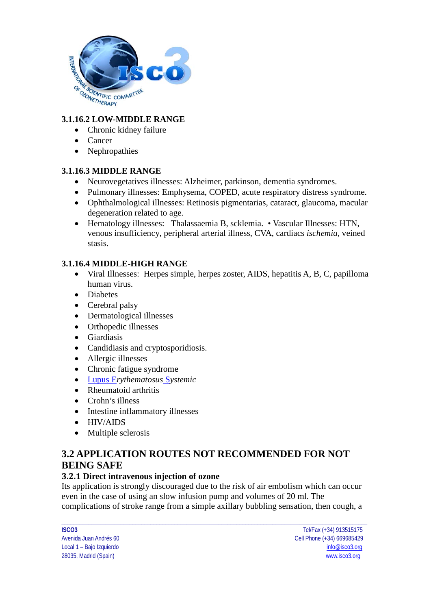

## **3.1.16.2 LOW-MIDDLE RANGE**

- Chronic kidney failure
- Cancer
- Nephropathies

## **3.1.16.3 MIDDLE RANGE**

- Neurovegetatives illnesses: Alzheimer, parkinson, dementia syndromes.
- Pulmonary illnesses: Emphysema, COPED, acute respiratory distress syndrome.
- Ophthalmological illnesses: Retinosis pigmentarias, cataract, glaucoma, macular degeneration related to age.
- Hematology illnesses: Thalassaemia B, scklemia. Vascular Illnesses: HTN, venous insufficiency, peripheral arterial illness, CVA, cardiacs *[ischemia,](http://en.wikipedia.org/w/index.php?title=Special:Search&search=ischemia&ns0=1&redirs=0)* veined stasis.

## **3.1.16.4 MIDDLE-HIGH RANGE**

- Viral Illnesses: Herpes simple, herpes zoster, AIDS, hepatitis A, B, C, papilloma human virus.
- Diabetes
- Cerebral palsy
- Dermatological illnesses
- Orthopedic illnesses
- Giardiasis
- Candidiasis and cryptosporidiosis.
- Allergic illnesses
- Chronic fatigue syndrome
- Lupus E*[rythematosus](http://en.wikipedia.org/w/index.php?title=Special:Search&search=%E2%80%A2%09Lupus+Erythematosus+Systemic&ns0=1&redirs=0)* S*ystemic*
- Rheumatoid arthritis
- Crohn's illness
- Intestine inflammatory illnesses
- HIV/AIDS
- Multiple sclerosis

## **3.2 APPLICATION ROUTES NOT RECOMMENDED FOR NOT BEING SAFE**

### **3.2.1 Direct intravenous injection of ozone**

Its application is strongly discouraged due to the risk of air embolism which can occur even in the case of using an slow infusion pump and volumes of 20 ml. The complications of stroke range from a simple axillary bubbling sensation, then cough, a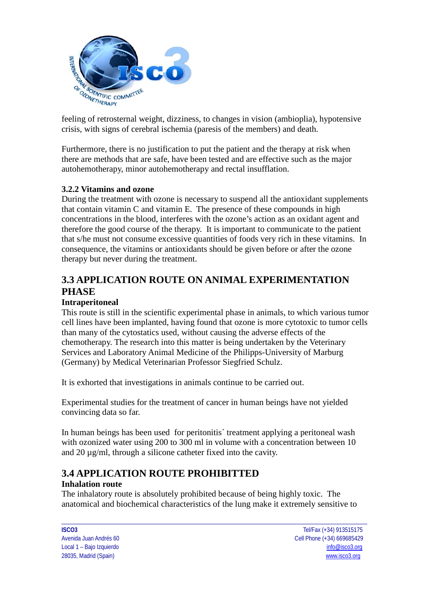

feeling of retrosternal weight, dizziness, to changes in vision (ambioplia), hypotensive crisis, with signs of cerebral ischemia (paresis of the members) and death.

Furthermore, there is no justification to put the patient and the therapy at risk when there are methods that are safe, have been tested and are effective such as the major autohemotherapy, minor autohemotherapy and rectal insufflation.

### **3.2.2 Vitamins and ozone**

During the treatment with ozone is necessary to suspend all the antioxidant supplements that contain vitamin C and vitamin E. The presence of these compounds in high concentrations in the blood, interferes with the ozone's action as an oxidant agent and therefore the good course of the therapy. It is important to communicate to the patient that s/he must not consume excessive quantities of foods very rich in these vitamins. In consequence, the vitamins or antioxidants should be given before or after the ozone therapy but never during the treatment.

# **3.3 APPLICATION ROUTE ON ANIMAL EXPERIMENTATION PHASE**

#### **Intraperitoneal**

This route is still in the scientific experimental phase in animals, to which various tumor cell lines have been implanted, having found that ozone is more cytotoxic to tumor cells than many of the cytostatics used, without causing the adverse effects of the chemotherapy. The research into this matter is being undertaken by the Veterinary Services and Laboratory Animal Medicine of the Philipps-University of Marburg (Germany) by Medical Veterinarian Professor Siegfried Schulz.

It is exhorted that investigations in animals continue to be carried out.

Experimental studies for the treatment of cancer in human beings have not yielded convincing data so far.

In human beings has been used for peritonitis´ treatment applying a peritoneal wash with ozonized water using 200 to 300 ml in volume with a concentration between 10 and 20 µg/ml, through a silicone catheter fixed into the cavity.

## **3.4 APPLICATION ROUTE PROHIBITTED**

#### **Inhalation route**

The inhalatory route is absolutely prohibited because of being highly toxic. The anatomical and biochemical characteristics of the lung make it extremely sensitive to

\_\_\_\_\_\_\_\_\_\_\_\_\_\_\_\_\_\_\_\_\_\_\_\_\_\_\_\_\_\_\_\_\_\_\_\_\_\_\_\_\_\_\_\_\_\_\_\_\_\_\_\_\_\_\_\_\_\_\_\_\_\_\_\_\_\_\_\_\_\_\_\_\_\_\_\_\_\_\_\_\_\_\_\_\_\_\_\_\_\_\_\_\_\_\_\_\_\_\_\_\_\_\_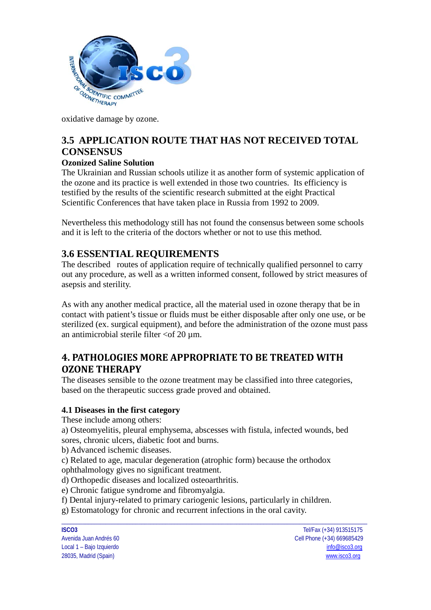

oxidative damage by ozone.

# **3.5 APPLICATION ROUTE THAT HAS NOT RECEIVED TOTAL CONSENSUS**

## **Ozonized Saline Solution**

The Ukrainian and Russian schools utilize it as another form of systemic application of the ozone and its practice is well extended in those two countries. Its efficiency is testified by the results of the scientific research submitted at the eight Practical Scientific Conferences that have taken place in Russia from 1992 to 2009.

Nevertheless this methodology still has not found the consensus between some schools and it is left to the criteria of the doctors whether or not to use this method.

## **3.6 ESSENTIAL REQUIREMENTS**

The described routes of application require of technically qualified personnel to carry out any procedure, as well as a written informed consent, followed by strict measures of asepsis and sterility.

As with any another medical practice, all the material used in ozone therapy that be in contact with patient's tissue or fluids must be either disposable after only one use, or be sterilized (ex. surgical equipment), and before the administration of the ozone must pass an antimicrobial sterile filter  $<$ of 20  $\mu$ m.

# **4. PATHOLOGIES MORE APPROPRIATE TO BE TREATED WITH OZONE THERAPY**

The diseases sensible to the ozone treatment may be classified into three categories, based on the therapeutic success grade proved and obtained.

### **4.1 Diseases in the first category**

These include among others:

a) Osteomyelitis, pleural emphysema, abscesses with fistula, infected wounds, bed sores, chronic ulcers, diabetic foot and burns.

b) Advanced ischemic diseases.

c) Related to age, macular degeneration (atrophic form) because the orthodox ophthalmology gives no significant treatment.

d) Orthopedic diseases and localized osteoarthritis.

e) Chronic fatigue syndrome and fibromyalgia.

f) Dental injury-related to primary cariogenic lesions, particularly in children.

g) Estomatology for chronic and recurrent infections in the oral cavity.

\_\_\_\_\_\_\_\_\_\_\_\_\_\_\_\_\_\_\_\_\_\_\_\_\_\_\_\_\_\_\_\_\_\_\_\_\_\_\_\_\_\_\_\_\_\_\_\_\_\_\_\_\_\_\_\_\_\_\_\_\_\_\_\_\_\_\_\_\_\_\_\_\_\_\_\_\_\_\_\_\_\_\_\_\_\_\_\_\_\_\_\_\_\_\_\_\_\_\_\_\_\_\_ **ISCO3** Tel/Fax (+34) 913515175 Avenida Juan Andrés 60 Cell Phone (+34) 669685429 Local 1 – Bajo Izquierdo [info@isco3.org](mailto:info@isco3.org) 28035, Madrid (Spain) [www.isco3.org](http://www.isco3.org/)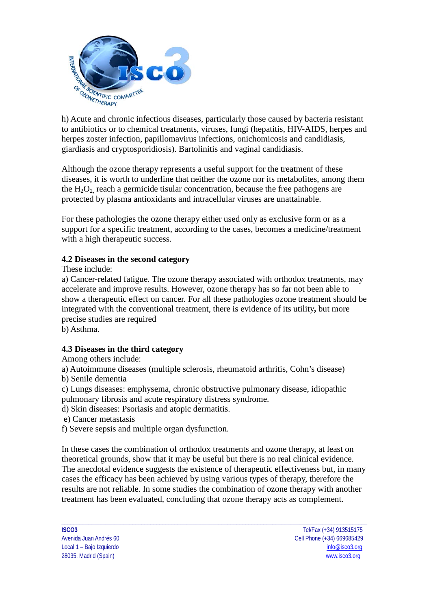

h) Acute and chronic infectious diseases, particularly those caused by bacteria resistant to antibiotics or to chemical treatments, viruses, fungi (hepatitis, HIV-AIDS, herpes and herpes zoster infection, papillomavirus infections, onichomicosis and candidiasis, giardiasis and cryptosporidiosis). Bartolinitis and vaginal candidiasis.

Although the ozone therapy represents a useful support for the treatment of these diseases, it is worth to underline that neither the ozone nor its metabolites, among them the  $H_2O_2$  reach a germicide tisular concentration, because the free pathogens are protected by plasma antioxidants and intracellular viruses are unattainable.

For these pathologies the ozone therapy either used only as exclusive form or as a support for a specific treatment, according to the cases, becomes a medicine/treatment with a high therapeutic success.

### **4.2 Diseases in the second category**

These include:

a) Cancer-related fatigue. The ozone therapy associated with orthodox treatments, may accelerate and improve results. However, ozone therapy has so far not been able to show a therapeutic effect on cancer. For all these pathologies ozone treatment should be integrated with the conventional treatment, there is evidence of its utility**,** but more precise studies are required

b) Asthma.

#### **4.3 Diseases in the third category**

Among others include:

a) Autoimmune diseases (multiple sclerosis, rheumatoid arthritis, Cohn's disease)

b) Senile dementia

c) Lungs diseases: emphysema, chronic obstructive pulmonary disease, idiopathic pulmonary fibrosis and acute respiratory distress syndrome.

d) Skin diseases: Psoriasis and atopic dermatitis.

e) Cancer metastasis

f) Severe sepsis and multiple organ dysfunction.

In these cases the combination of orthodox treatments and ozone therapy, at least on theoretical grounds, show that it may be useful but there is no real clinical evidence. The anecdotal evidence suggests the existence of therapeutic effectiveness but, in many cases the efficacy has been achieved by using various types of therapy, therefore the results are not reliable. In some studies the combination of ozone therapy with another treatment has been evaluated, concluding that ozone therapy acts as complement.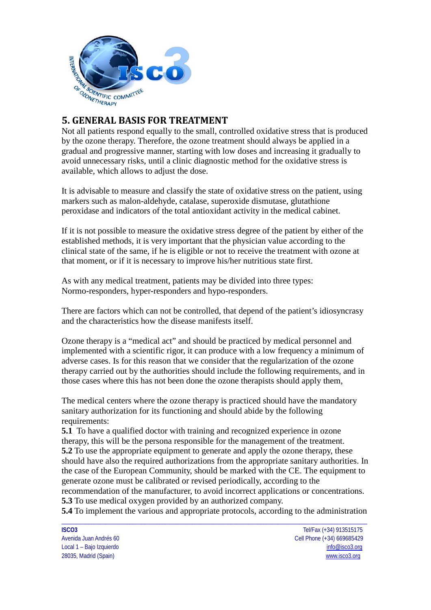

## **5. GENERAL BASIS FOR TREATMENT**

Not all patients respond equally to the small, controlled oxidative stress that is produced by the ozone therapy. Therefore, the ozone treatment should always be applied in a gradual and progressive manner, starting with low doses and increasing it gradually to avoid unnecessary risks, until a clinic diagnostic method for the oxidative stress is available, which allows to adjust the dose.

It is advisable to measure and classify the state of oxidative stress on the patient, using markers such as malon-aldehyde, catalase, superoxide dismutase, glutathione peroxidase and indicators of the total antioxidant activity in the medical cabinet.

If it is not possible to measure the oxidative stress degree of the patient by either of the established methods, it is very important that the physician value according to the clinical state of the same, if he is eligible or not to receive the treatment with ozone at that moment, or if it is necessary to improve his/her nutritious state first.

As with any medical treatment, patients may be divided into three types: Normo-responders, hyper-responders and hypo-responders.

There are factors which can not be controlled, that depend of the patient's idiosyncrasy and the characteristics how the disease manifests itself.

Ozone therapy is a "medical act" and should be practiced by medical personnel and implemented with a scientific rigor, it can produce with a low frequency a minimum of adverse cases. Is for this reason that we consider that the regularization of the ozone therapy carried out by the authorities should include the following requirements, and in those cases where this has not been done the ozone therapists should apply them,

The medical centers where the ozone therapy is practiced should have the mandatory sanitary authorization for its functioning and should abide by the following requirements:

**5.1** To have a qualified doctor with training and recognized experience in ozone therapy, this will be the persona responsible for the management of the treatment. **5.2** To use the appropriate equipment to generate and apply the ozone therapy, these should have also the required authorizations from the appropriate sanitary authorities. In the case of the European Community, should be marked with the CE. The equipment to generate ozone must be calibrated or revised periodically, according to the recommendation of the manufacturer, to avoid incorrect applications or concentrations.

**5.3** To use medical oxygen provided by an authorized company.

\_\_\_\_\_\_\_\_\_\_\_\_\_\_\_\_\_\_\_\_\_\_\_\_\_\_\_\_\_\_\_\_\_\_\_\_\_\_\_\_\_\_\_\_\_\_\_\_\_\_\_\_\_\_\_\_\_\_\_\_\_\_\_\_\_\_\_\_\_\_\_\_\_\_\_\_\_\_\_\_\_\_\_\_\_\_\_\_\_\_\_\_\_\_\_\_\_\_\_\_\_\_\_ **5.4** To implement the various and appropriate protocols, according to the administration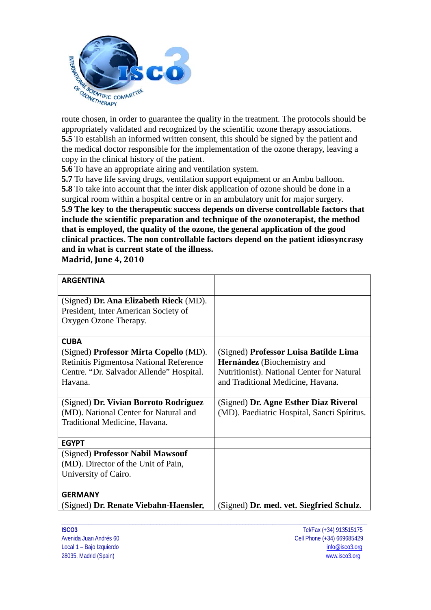

appropriately validated and recognized by the scientific ozone therapy associations. **5.5** To establish an informed written consent, this should be signed by the patient and the medical doctor responsible for the implementation of the ozone therapy, leaving a copy in the clinical history of the patient.

**5.6** To have an appropriate airing and ventilation system.

**5.7** To have life saving drugs, ventilation support equipment or an Ambu balloon. **5.8** To take into account that the inter disk application of ozone should be done in a surgical room within a hospital centre or in an ambulatory unit for major surgery. **5.9 The key to the therapeutic success depends on diverse controllable factors that include the scientific preparation and technique of the ozonoterapist, the method that is employed, the quality of the ozone, the general application of the good clinical practices. The non controllable factors depend on the patient idiosyncrasy and in what is current state of the illness.** 

**Madrid, June 4, 2010**

| <b>ARGENTINA</b>                         |                                             |
|------------------------------------------|---------------------------------------------|
| (Signed) Dr. Ana Elizabeth Rieck (MD).   |                                             |
| President, Inter American Society of     |                                             |
| Oxygen Ozone Therapy.                    |                                             |
|                                          |                                             |
| <b>CUBA</b>                              |                                             |
| (Signed) Professor Mirta Copello (MD).   | (Signed) Professor Luisa Batilde Lima       |
| Retinitis Pigmentosa National Reference  | <b>Hernández</b> (Biochemistry and          |
| Centre. "Dr. Salvador Allende" Hospital. | Nutritionist). National Center for Natural  |
| Havana.                                  | and Traditional Medicine, Havana.           |
|                                          |                                             |
| (Signed) Dr. Vivian Borroto Rodríguez    | (Signed) Dr. Agne Esther Diaz Riverol       |
| (MD). National Center for Natural and    | (MD). Paediatric Hospital, Sancti Spíritus. |
| Traditional Medicine, Havana.            |                                             |
|                                          |                                             |
| <b>EGYPT</b>                             |                                             |
| (Signed) Professor Nabil Mawsouf         |                                             |
| (MD). Director of the Unit of Pain,      |                                             |
| University of Cairo.                     |                                             |
|                                          |                                             |
| <b>GERMANY</b>                           |                                             |
| (Signed) Dr. Renate Viebahn-Haensler,    | (Signed) Dr. med. vet. Siegfried Schulz.    |

\_\_\_\_\_\_\_\_\_\_\_\_\_\_\_\_\_\_\_\_\_\_\_\_\_\_\_\_\_\_\_\_\_\_\_\_\_\_\_\_\_\_\_\_\_\_\_\_\_\_\_\_\_\_\_\_\_\_\_\_\_\_\_\_\_\_\_\_\_\_\_\_\_\_\_\_\_\_\_\_\_\_\_\_\_\_\_\_\_\_\_\_\_\_\_\_\_\_\_\_\_\_\_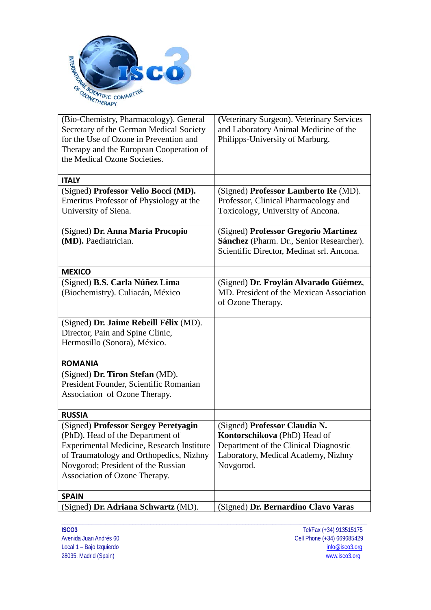

| (Bio-Chemistry, Pharmacology). General    | (Veterinary Surgeon). Veterinary Services |
|-------------------------------------------|-------------------------------------------|
| Secretary of the German Medical Society   | and Laboratory Animal Medicine of the     |
| for the Use of Ozone in Prevention and    | Philipps-University of Marburg.           |
| Therapy and the European Cooperation of   |                                           |
| the Medical Ozone Societies.              |                                           |
|                                           |                                           |
| <b>ITALY</b>                              |                                           |
| (Signed) Professor Velio Bocci (MD).      | (Signed) Professor Lamberto Re (MD).      |
| Emeritus Professor of Physiology at the   | Professor, Clinical Pharmacology and      |
| University of Siena.                      | Toxicology, University of Ancona.         |
|                                           |                                           |
| (Signed) Dr. Anna María Procopio          | (Signed) Professor Gregorio Martínez      |
| (MD). Paediatrician.                      | Sánchez (Pharm. Dr., Senior Researcher).  |
|                                           | Scientific Director, Medinat srl. Ancona. |
|                                           |                                           |
| <b>MEXICO</b>                             |                                           |
| (Signed) B.S. Carla Núñez Lima            | (Signed) Dr. Froylán Alvarado Güémez,     |
| (Biochemistry). Culiacán, México          | MD. President of the Mexican Association  |
|                                           | of Ozone Therapy.                         |
|                                           |                                           |
| (Signed) Dr. Jaime Rebeill Félix (MD).    |                                           |
| Director, Pain and Spine Clinic,          |                                           |
| Hermosillo (Sonora), México.              |                                           |
|                                           |                                           |
| <b>ROMANIA</b>                            |                                           |
| (Signed) Dr. Tiron Stefan (MD).           |                                           |
| President Founder, Scientific Romanian    |                                           |
| Association of Ozone Therapy.             |                                           |
|                                           |                                           |
| <b>RUSSIA</b>                             |                                           |
| (Signed) Professor Sergey Peretyagin      | (Signed) Professor Claudia N.             |
| (PhD). Head of the Department of          | Kontorschikova (PhD) Head of              |
| Experimental Medicine, Research Institute | Department of the Clinical Diagnostic     |
| of Traumatology and Orthopedics, Nizhny   | Laboratory, Medical Academy, Nizhny       |
| Novgorod; President of the Russian        | Novgorod.                                 |
| Association of Ozone Therapy.             |                                           |
|                                           |                                           |
| <b>SPAIN</b>                              |                                           |
| (Signed) Dr. Adriana Schwartz (MD).       | (Signed) Dr. Bernardino Clavo Varas       |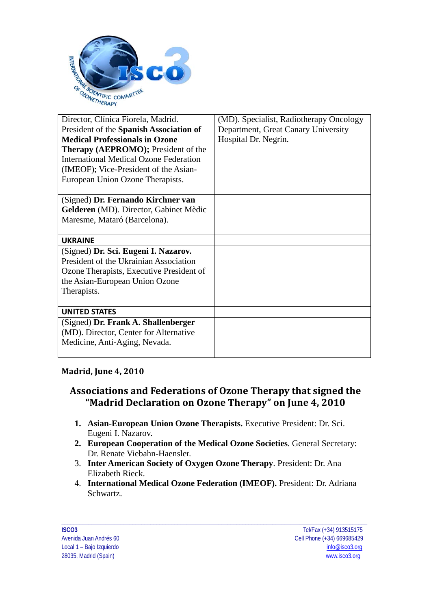

| Director, Clínica Fiorela, Madrid.            | (MD). Specialist, Radiotherapy Oncology |
|-----------------------------------------------|-----------------------------------------|
| President of the Spanish Association of       | Department, Great Canary University     |
| <b>Medical Professionals in Ozone</b>         | Hospital Dr. Negrín.                    |
| <b>Therapy (AEPROMO);</b> President of the    |                                         |
| <b>International Medical Ozone Federation</b> |                                         |
| (IMEOF); Vice-President of the Asian-         |                                         |
| European Union Ozone Therapists.              |                                         |
|                                               |                                         |
| (Signed) Dr. Fernando Kirchner van            |                                         |
| Gelderen (MD). Director, Gabinet Mèdic        |                                         |
| Maresme, Mataró (Barcelona).                  |                                         |
|                                               |                                         |
|                                               |                                         |
| <b>UKRAINE</b>                                |                                         |
| (Signed) Dr. Sci. Eugeni I. Nazarov.          |                                         |
| President of the Ukrainian Association        |                                         |
| Ozone Therapists, Executive President of      |                                         |
| the Asian-European Union Ozone                |                                         |
| Therapists.                                   |                                         |
|                                               |                                         |
| <b>UNITED STATES</b>                          |                                         |
| (Signed) Dr. Frank A. Shallenberger           |                                         |
| (MD). Director, Center for Alternative        |                                         |
| Medicine, Anti-Aging, Nevada.                 |                                         |

### **Madrid, June 4, 2010**

# **Associations and Federations of Ozone Therapy that signed the "Madrid Declaration on Ozone Therapy" on June 4, 2010**

- **1. Asian-European Union Ozone Therapists.** Executive President: Dr. Sci. Eugeni I. Nazarov.
- **2. European Cooperation of the Medical Ozone Societies**. General Secretary: Dr. Renate Viebahn-Haensler.
- 3. **Inter American Society of Oxygen Ozone Therapy**. President: Dr. Ana Elizabeth Rieck.
- 4. **International Medical Ozone Federation (IMEOF).** President: Dr. Adriana Schwartz.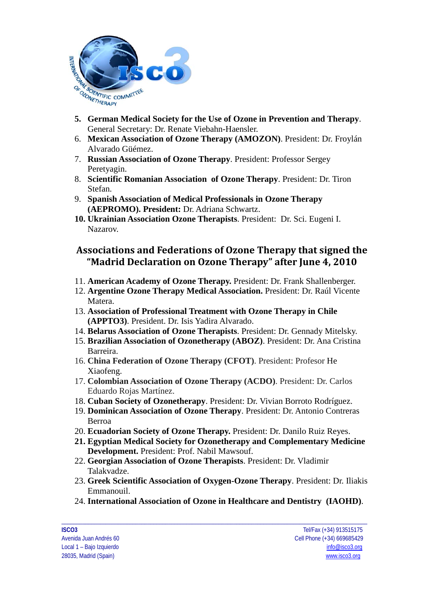

- **5. German Medical Society for the Use of Ozone in Prevention and Therapy**. General Secretary: Dr. Renate Viebahn-Haensler.
- 6. **Mexican Association of Ozone Therapy (AMOZON)**. President: Dr. Froylán Alvarado Güémez.
- 7. **Russian Association of Ozone Therapy**. President: Professor Sergey Peretyagin.
- 8. **Scientific Romanian Association of Ozone Therapy**. President: Dr. Tiron Stefan.
- 9. **Spanish Association of Medical Professionals in Ozone Therapy (AEPROMO). President:** Dr. Adriana Schwartz.
- **10. Ukrainian Association Ozone Therapists**. President: Dr. Sci. Eugeni I. Nazarov.

# **Associations and Federations of Ozone Therapy that signed the "Madrid Declaration on Ozone Therapy" after June 4, 2010**

- 11. **American Academy of Ozone Therapy.** President: Dr. Frank Shallenberger.
- 12. **Argentine Ozone Therapy Medical Association.** President: Dr. Raúl Vicente Matera.
- 13. **Association of Professional Treatment with Ozone Therapy in Chile (APPTO3)**. President. Dr. Isis Yadira Alvarado.
- 14. **Belarus Association of Ozone Therapists**. President: Dr. Gennady Mitelsky.
- 15. **Brazilian Association of Ozonetherapy (ABOZ)**. President: Dr. Ana Cristina Barreira.
- 16. **China Federation of Ozone Therapy (CFOT)**. President: Profesor He Xiaofeng.
- 17. **Colombian Association of Ozone Therapy (ACDO)**. President: Dr. Carlos Eduardo Rojas Martínez.
- 18. **Cuban Society of Ozonetherapy**. President: Dr. Vivian Borroto Rodríguez.
- 19. **Dominican Association of Ozone Therapy**. President: Dr. Antonio Contreras Berroa
- 20. **Ecuadorian Society of Ozone Therapy.** President: Dr. Danilo Ruiz Reyes.
- **21. Egyptian Medical Society for Ozonetherapy and Complementary Medicine Development.** President: Prof. Nabil Mawsouf.
- 22. **Georgian Association of Ozone Therapists**. President: Dr. Vladimir Talakvadze.
- 23. **Greek Scientific Association of Oxygen-Ozone Therapy**. President: Dr. Iliakis Emmanouil.
- 24. **International Association of Ozone in Healthcare and Dentistry (IAOHD)**.